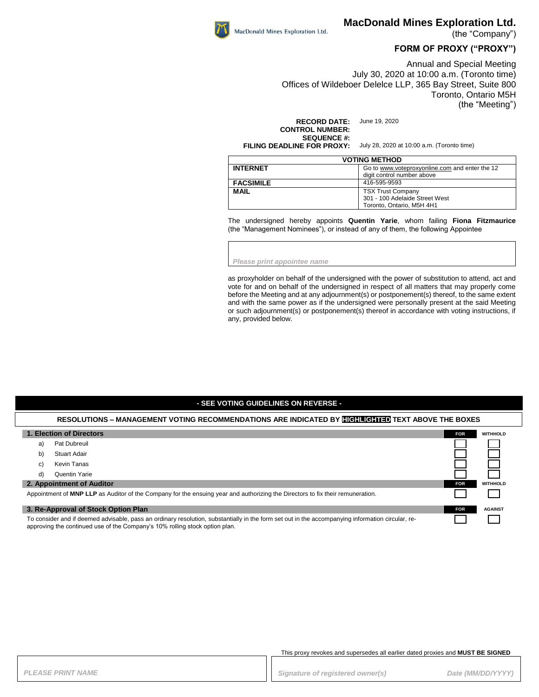

(the "Company")

## **FORM OF PROXY ("PROXY")**

Annual and Special Meeting July 30, 2020 at 10:00 a.m. (Toronto time) Offices of Wildeboer Delelce LLP, 365 Bay Street, Suite 800 Toronto, Ontario M5H (the "Meeting")

**RECORD DATE:** June 19, 2020 **CONTROL NUMBER: SEQUENCE #: FILING DEADLINE FOR PROXY:** July 28, 2020 at 10:00 a.m. (Toronto time)

| <b>VOTING METHOD</b> |                                                                              |  |
|----------------------|------------------------------------------------------------------------------|--|
| <b>INTERNET</b>      | Go to www.voteproxyonline.com and enter the 12<br>digit control number above |  |
| <b>FACSIMILE</b>     | 416-595-9593                                                                 |  |
| <b>MAIL</b>          | <b>TSX Trust Company</b>                                                     |  |
|                      | 301 - 100 Adelaide Street West                                               |  |
|                      | Toronto, Ontario, M5H 4H1                                                    |  |

The undersigned hereby appoints **Quentin Yarie**, whom failing **Fiona Fitzmaurice** (the "Management Nominees"), or instead of any of them, the following Appointee

*Please print appointee name*

MacDonald Mines Exploration Ltd.

as proxyholder on behalf of the undersigned with the power of substitution to attend, act and vote for and on behalf of the undersigned in respect of all matters that may properly come before the Meeting and at any adjournment(s) or postponement(s) thereof, to the same extent and with the same power as if the undersigned were personally present at the said Meeting or such adjournment(s) or postponement(s) thereof in accordance with voting instructions, if any, provided below.

#### **- SEE VOTING GUIDELINES ON REVERSE -**

#### **RESOLUTIONS – MANAGEMENT VOTING RECOMMENDATIONS ARE INDICATED BY HIGHLIGHTED TEXT ABOVE THE BOXES**

| 1. Election of Directors                                                                                                                                                                                                         |  | <b>WITHHOLD</b> |
|----------------------------------------------------------------------------------------------------------------------------------------------------------------------------------------------------------------------------------|--|-----------------|
| <b>Pat Dubreuil</b><br>a)                                                                                                                                                                                                        |  |                 |
| Stuart Adair<br>b)                                                                                                                                                                                                               |  |                 |
| Kevin Tanas<br>C)                                                                                                                                                                                                                |  |                 |
| Quentin Yarie<br>d)                                                                                                                                                                                                              |  |                 |
| 2. Appointment of Auditor                                                                                                                                                                                                        |  | <b>WITHHOLD</b> |
| Appointment of MNP LLP as Auditor of the Company for the ensuing year and authorizing the Directors to fix their remuneration.                                                                                                   |  |                 |
| 3. Re-Approval of Stock Option Plan                                                                                                                                                                                              |  | <b>AGAINST</b>  |
| To consider and if deemed advisable, pass an ordinary resolution, substantially in the form set out in the accompanying information circular, re-<br>approving the continued use of the Company's 10% rolling stock option plan. |  |                 |

This proxy revokes and supersedes all earlier dated proxies and **MUST BE SIGNED**